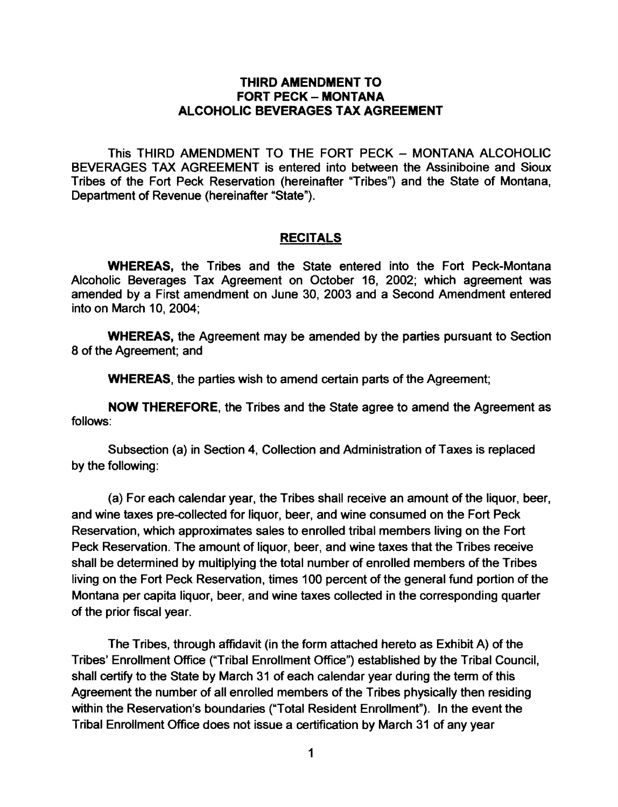## THIRD AMENDMENT TO FORT PECK - MONTANA ALCOHOLIC BEVERAGES TAX AGREEMENT

This THIRD AMENDMENT TO THE FORT PECK - MONTANA ALCOHOLIC BEVERAGES TAX AGREEMENT is entered into between the Assiniboine and Sioux Tribes of the Fort Peck Reservation (hereinafter "Tribes") and the State of Montana, Department of Revenue (hereinafter "State").

## **RECITALS**

WHEREAS, the Tribes and the State entered into the Fort Peck-Montana Alcoholic Beverages Tax Agreement on October 16, 2002; which agreement was amended by a First amendment on June 30, 2003 and a Second Amendment entered into on March 10,2004;

WHEREAS, the Agreement may be amended by the parties pursuant to Section 8 of the Agreement; and

WHEREAS, the parties wish to amend certain parts of the Agreement;

NOW THEREFORE, the Tribes and the State agree to amend the Agreement as follows:

Subsection (a) in Section 4, Collection and Administration of Taxes is replaced by the following:

(a) For each calendar year, the Tribes shall receive an amount of the liquor, beer, and wine taxes pre-collected for liquor, beer, and wine consumed on the Fort Peck Reservation, which approximates sales to enrolled tribal members living on the Fort Peck Reservation. The amount of liquor, beer, and wine taxes that the Tribes receive shall be determined by multiplying the total number of enrolled members of the Tribes living on the Fort Peck Reservation, times 100 percent of the general fund portion of the Montana per capita liquor, beer, and wine taxes collected in the corresponding quarter of the prior fiscal year.

The Tribes, through affidavit (in the form attached hereto as Exhibit A) of the Tribes' Enrollment Office ("Tribal Enrollment Office") established by the Tribal Council, shall certify to the State by March 31 of each calendar year during the term of this Agreement the number of all enrolled members of the Tribes physically then residing within the Reservation's boundaries ("Total Resident Enrollment"). In the event the Tribal Enrollment Office does not issue a certification by March 31 of any year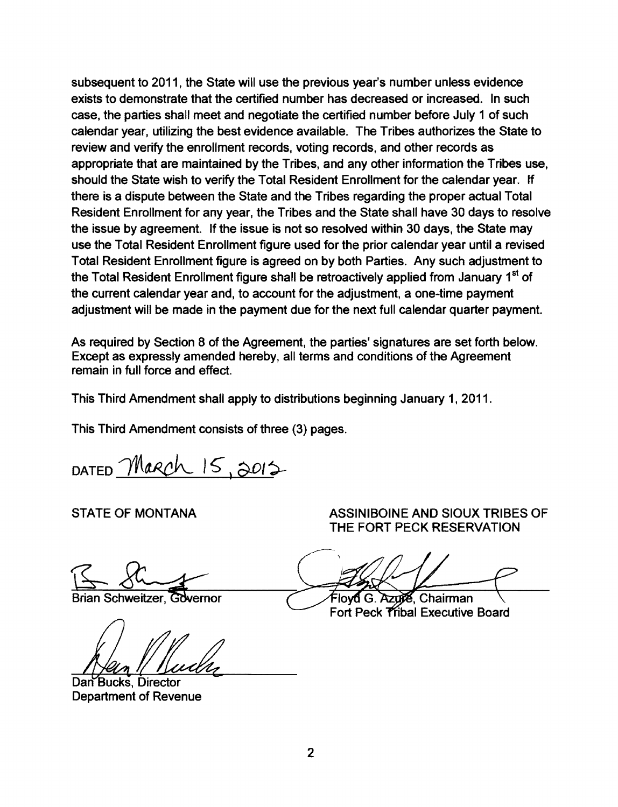subsequent to 2011, the State will use the previous year's number unless evidence exists to demonstrate that the certified number has decreased or increased. In such case, the parties shall meet and negotiate the certified number before July 1 of such calendar year, utilizing the best evidence available. The Tribes authorizes the State to review and verify the enrollment records, voting records, and other records as appropriate that are maintained by the Tribes, and any other information the Tribes use, should the State wish to verify the Total Resident Enrollment for the calendar year. If there is a dispute between the State and the Tribes regarding the proper actual Total Resident Enrollment for any year, the Tribes and the State shall have 30 days to resolve the issue by agreement. If the issue is not so resolved within 30 days, the State may use the Total Resident Enrollment figure used for the prior calendar year until a revised Total Resident Enrollment figure is agreed on by both Parties. Any such adjustment to the Total Resident Enrollment figure shall be retroactively applied from January 1<sup>st</sup> of the current calendar year and, to account for the adjustment, a one-time payment adjustment will be made in the payment due for the next full calendar quarter payment.

As required by Section 8 of the Agreement, the parties' signatures are set forth below. Except as expressly amended hereby, all terms and conditions of the Agreement remain in full force and effect.

This Third Amendment shall apply to distributions beginning January 1, 2011.

This Third Amendment consists of three (3) pages.

DATED March  $15,0012$ 

Brian Schweitzer. Governor

Dan Bucks, Director **Department of Revenue** 

STATE OF MONTANA **ASSINIBOINE AND SIOUX TRIBES OF** THE FORT PECK RESERVATION

Flovd G. Azuie. Chairman Fort Peck Tribal Executive Board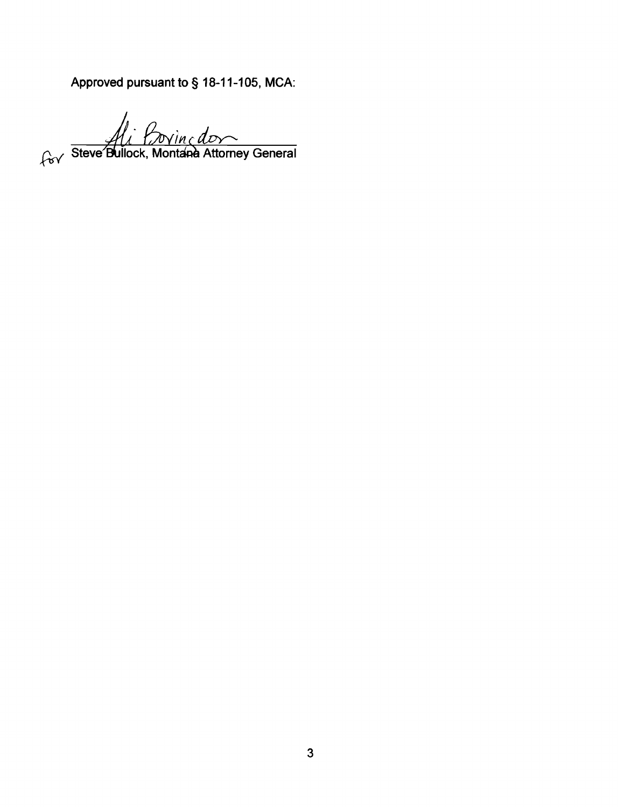Approved pursuant to § 18-11-105, MCA:

for Steve Bullock, Montana Attorney General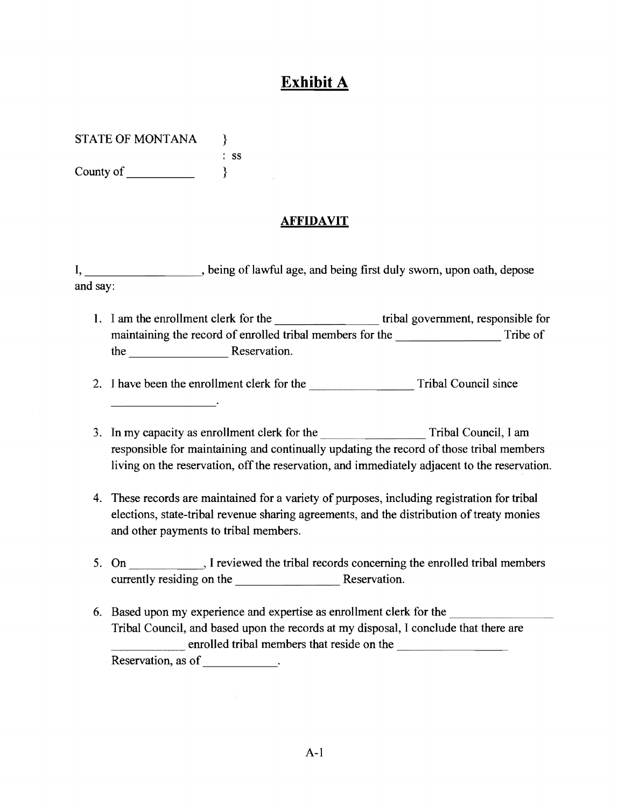## **Exhibit A**

STATE OF MONTANA  $\rightarrow$ 

: ss County of\_\_\_\_\_ }

## **AFFIDAVIT**

I, being of lawful age, and being first duly sworn, upon oath, depose and say:

1. I am the enrollment clerk for the tribal government, responsible for maintaining the record of enrolled tribal members for the Tribe of the Reservation.

-------- 2. I have been the enrollment clerk for the Tribal Council since

- 3. In my capacity as enrollment clerk for the Tribal Council, I am responsible for maintaining and continually updating the record of those tribal members living on the reservation, off the reservation, and immediately adjacent to the reservation.
- 4. These records are maintained for a variety of purposes, including registration for tribal elections, state-tribal revenue sharing agreements, and the distribution of treaty monies and other payments to tribal members.
- 5. On , I reviewed the tribal records concerning the enrolled tribal members currently residing on the Reservation.
- Tribal Council, and based upon the records at my disposal, I conclude that there<br>enrolled tribal members that reside on the 6. Based upon my experience and expertise as enrollment clerk for the Tribal Council, and based upon the records at my disposal, I conclude that there are enrolled tribal members that reside on the emoned thoat men<br>Reservation, as of \_\_\_\_\_\_\_\_\_\_\_\_.